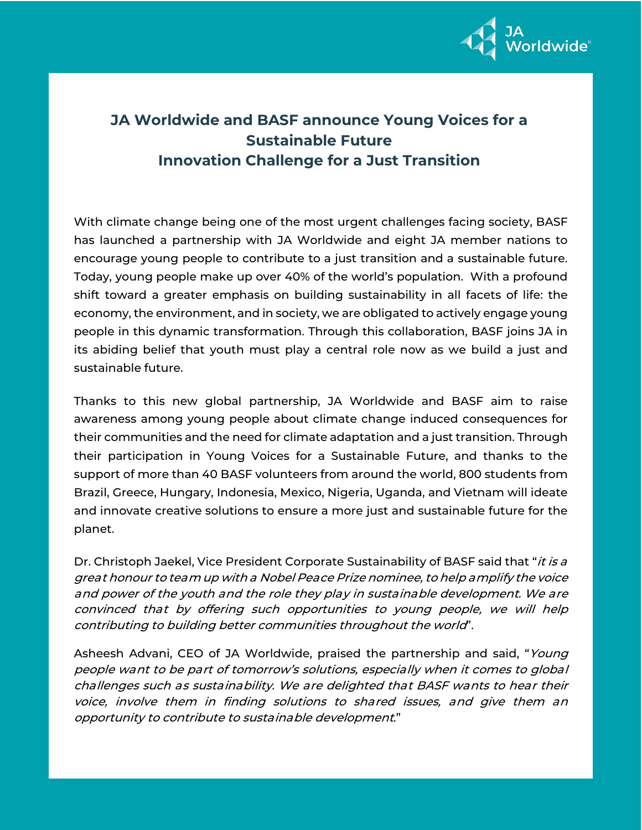

## **JA Worldwide and BASF announce Young Voices for a Sustainable Future Innovation Challenge for a Just Transition**

With climate change being one of the most urgent challenges facing society, BASF has launched a partnership with JA Worldwide and eight JA member nations to encourage young people to contribute to a just transition and a sustainable future. Today, young people make up over 40% of the world's population. With a profound shift toward a greater emphasis on building sustainability in all facets of life: the economy, the environment, and in society, we are obligated to actively engage young people in this dynamic transformation. Through this collaboration, BASF joins JA in its abiding belief that youth must play a central role now as we build a just and sustainable future.

Thanks to this new global partnership, JA Worldwide and BASF aim to raise awareness among young people about climate change induced consequences for their communities and the need for climate adaptation and a just transition. Through their participation in Young Voices for a Sustainable Future, and thanks to the support of more than 40 BASF volunteers from around the world, 800 students from Brazil, Greece, Hungary, Indonesia, Mexico, Nigeria, Uganda, and Vietnam will ideate and innovate creative solutions to ensure a more just and sustainable future for the planet.

Dr. Christoph Jaekel, Vice President Corporate Sustainability of BASF said that "*it is a* great honour to team up with a Nobel Peace Prize nominee, to help amplify the voice and power of the youth and the role they play in sustainable development. We are convinced that by offering such opportunities to young people, we will help contributing to building better communities throughout the world".

Asheesh Advani, CEO of JA Worldwide, praised the partnership and said, "Young people want to be part of tomorrow's solutions, especially when it comes to global challenges such as sustainability. We are delighted that BASF wants to hear their voice, involve them in finding solutions to shared issues, and give them an opportunity to contribute to sustainable development."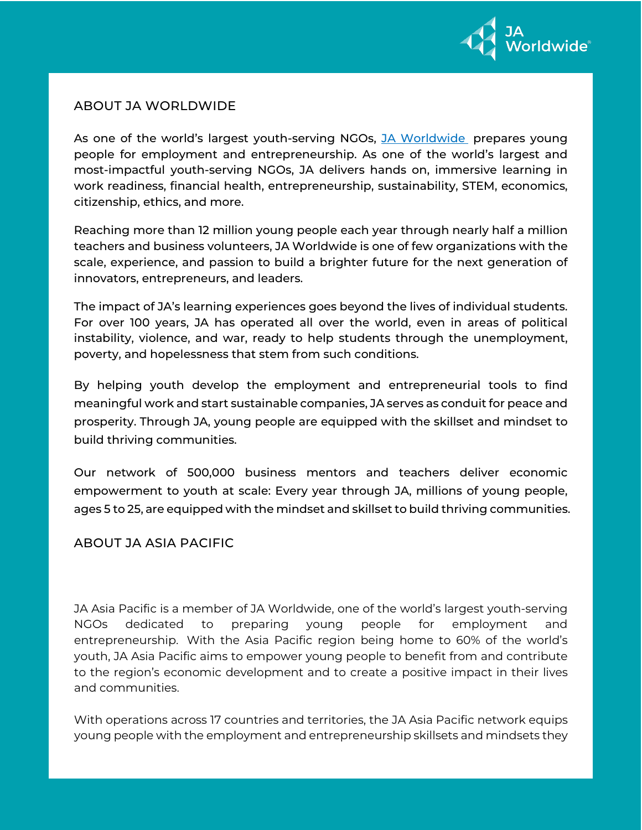

## ABOUT JA WORLDWIDE

As one of the world's largest youth-serving NGOs, JA [Worldwide](http://www.jaworldwide.org/) prepares young people for employment and entrepreneurship. As one of the world's largest and most-impactful youth-serving NGOs, JA delivers hands on, immersive learning in work readiness, financial health, entrepreneurship, sustainability, STEM, economics, citizenship, ethics, and more.

Reaching more than 12 million young people each year through nearly half a million teachers and business volunteers, JA Worldwide is one of few organizations with the scale, experience, and passion to build a brighter future for the next generation of innovators, entrepreneurs, and leaders.

The impact of JA's learning experiences goes beyond the lives of individual students. For over 100 years, JA has operated all over the world, even in areas of political instability, violence, and war, ready to help students through the unemployment, poverty, and hopelessness that stem from such conditions.

By helping youth develop the employment and entrepreneurial tools to find meaningful work and start sustainable companies, JA serves as conduit for peace and prosperity. Through JA, young people are equipped with the skillset and mindset to build thriving communities.

Our network of 500,000 business mentors and teachers deliver economic empowerment to youth at scale: Every year through JA, millions of young people, ages 5 to 25, are equipped with the mindset and skillset to build thriving communities.

## ABOUT JA ASIA PACIFIC

JA Asia Pacific is a member of JA Worldwide, one of the world's largest youth-serving NGOs dedicated to preparing young people for employment and entrepreneurship. With the Asia Pacific region being home to 60% of the world's youth, JA Asia Pacific aims to empower young people to benefit from and contribute to the region's economic development and to create a positive impact in their lives and communities.

With operations across 17 countries and territories, the JA Asia Pacific network equips young people with the employment and entrepreneurship skillsets and mindsets they